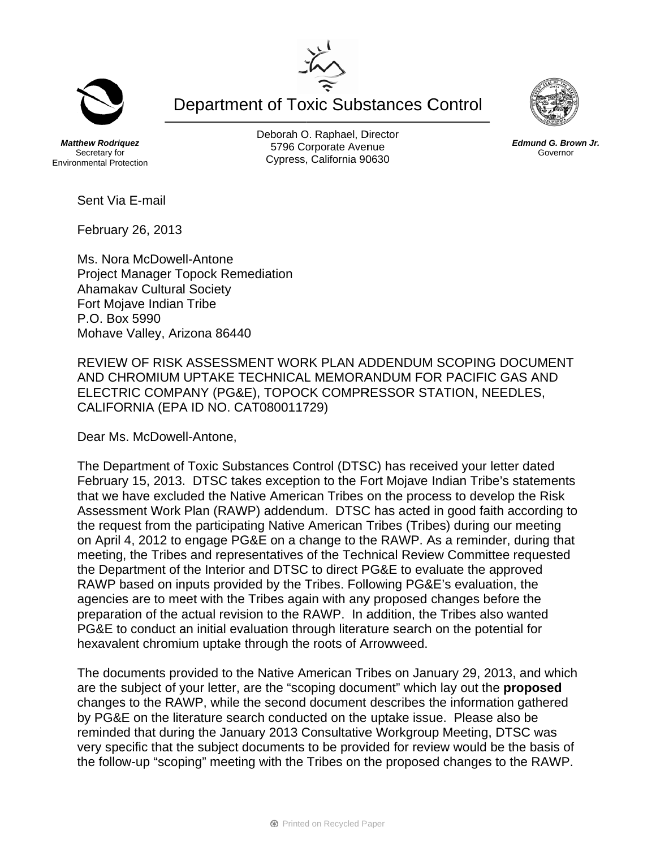**Department of Toxic Substances Control** 

**Matthew Rodriguez** Secretary for **Environmental Protection**  Deborah O. Raphael, Director 5796 Corporate Avenue Cypress, California 90630

Sent Via E-mail

February 26, 2013

Ms. Nora McDowell-Antone **Project Manager Topock Remediation Ahamakav Cultural Society** Fort Moiave Indian Tribe P.O. Box 5990 Mohave Valley, Arizona 86440

REVIEW OF RISK ASSESSMENT WORK PLAN ADDENDUM SCOPING DOCUMENT AND CHROMIUM UPTAKE TECHNICAL MEMORANDUM FOR PACIFIC GAS AND ELECTRIC COMPANY (PG&E), TOPOCK COMPRESSOR STATION, NEEDLES, CALIFORNIA (EPA ID NO. CAT080011729)

Dear Ms. McDowell-Antone.

The Department of Toxic Substances Control (DTSC) has received your letter dated February 15, 2013. DTSC takes exception to the Fort Mojave Indian Tribe's statements that we have excluded the Native American Tribes on the process to develop the Risk Assessment Work Plan (RAWP) addendum. DTSC has acted in good faith according to the request from the participating Native American Tribes (Tribes) during our meeting on April 4, 2012 to engage PG&E on a change to the RAWP. As a reminder, during that meeting, the Tribes and representatives of the Technical Review Committee requested the Department of the Interior and DTSC to direct PG&E to evaluate the approved RAWP based on inputs provided by the Tribes. Following PG&E's evaluation, the agencies are to meet with the Tribes again with any proposed changes before the preparation of the actual revision to the RAWP. In addition, the Tribes also wanted PG&E to conduct an initial evaluation through literature search on the potential for hexavalent chromium uptake through the roots of Arrowweed.

The documents provided to the Native American Tribes on January 29, 2013, and which are the subject of your letter, are the "scoping document" which lay out the **proposed** changes to the RAWP, while the second document describes the information gathered by PG&E on the literature search conducted on the uptake issue. Please also be reminded that during the January 2013 Consultative Workgroup Meeting, DTSC was very specific that the subject documents to be provided for review would be the basis of the follow-up "scoping" meeting with the Tribes on the proposed changes to the RAWP.





Edmund G. Brown Jr.

Governor